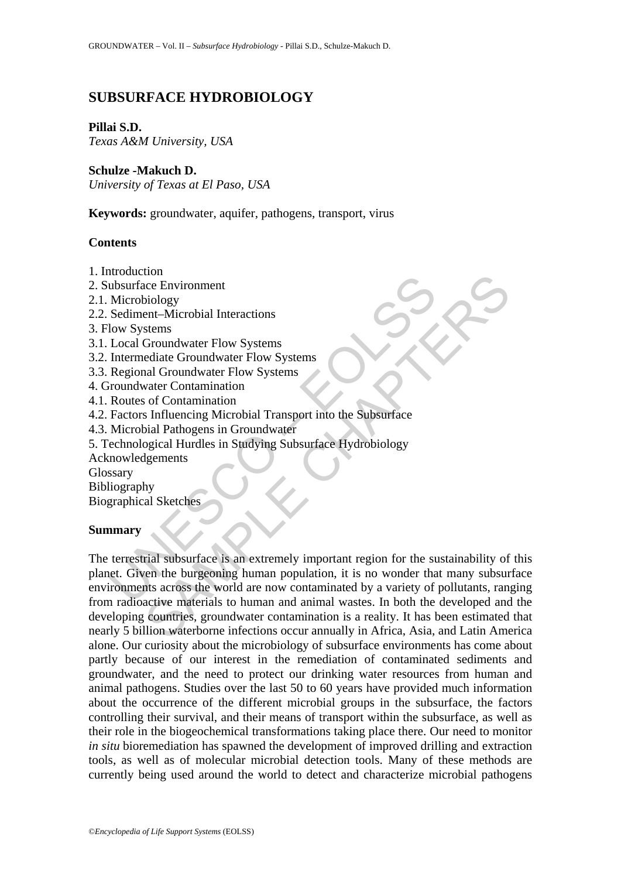# **SUBSURFACE HYDROBIOLOGY**

### **Pillai S.D.**

*Texas A&M University, USA* 

### **Schulze -Makuch D.**

*University of Texas at El Paso, USA* 

**Keywords:** groundwater, aquifer, pathogens, transport, virus

### **Contents**

1. Introduction

2. Subsurface Environment

- 2.1. Microbiology
- 2.2. Sediment–Microbial Interactions
- 3. Flow Systems
- 3.1. Local Groundwater Flow Systems
- 3.2. Intermediate Groundwater Flow Systems
- 3.3. Regional Groundwater Flow Systems
- 4. Groundwater Contamination
- 4.1. Routes of Contamination
- 4.2. Factors Influencing Microbial Transport into the Subsurface
- 4.3. Microbial Pathogens in Groundwater
- 5. Technological Hurdles in Studying Subsurface Hydrobiology
- Acknowledgements

**Glossary** 

- Bibliography
- Biographical Sketches

#### **Summary**

mostation<br>
ubsurface Environment<br>
Microbiology<br>
Sediment-Microbial Interactions<br>
low Systems<br>
Local Groundwater Flow Systems<br>
Intermediate Groundwater Flow Systems<br>
Regional Groundwater Flow Systems<br>
roundwater Contaminati From Headler<br>
SEE Environment<br>
SEC Environment<br>
SC Groundwater Flow Systems<br>
SC Groundwater Flow Systems<br>
ediate Groundwater Flow Systems<br>
and Crondmination<br>
and Groundwater<br>
SIMPLE CONTRIBUTE TO SUPPOSE THE SUPPOSE OF CON The terrestrial subsurface is an extremely important region for the sustainability of this planet. Given the burgeoning human population, it is no wonder that many subsurface environments across the world are now contaminated by a variety of pollutants, ranging from radioactive materials to human and animal wastes. In both the developed and the developing countries, groundwater contamination is a reality. It has been estimated that nearly 5 billion waterborne infections occur annually in Africa, Asia, and Latin America alone. Our curiosity about the microbiology of subsurface environments has come about partly because of our interest in the remediation of contaminated sediments and groundwater, and the need to protect our drinking water resources from human and animal pathogens. Studies over the last 50 to 60 years have provided much information about the occurrence of the different microbial groups in the subsurface, the factors controlling their survival, and their means of transport within the subsurface, as well as their role in the biogeochemical transformations taking place there. Our need to monitor *in situ* bioremediation has spawned the development of improved drilling and extraction tools, as well as of molecular microbial detection tools. Many of these methods are currently being used around the world to detect and characterize microbial pathogens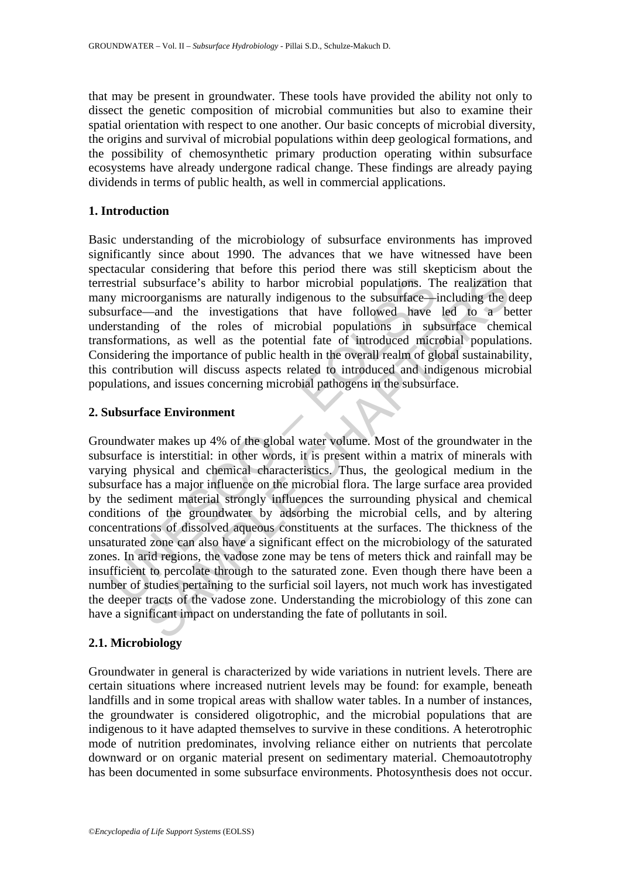that may be present in groundwater. These tools have provided the ability not only to dissect the genetic composition of microbial communities but also to examine their spatial orientation with respect to one another. Our basic concepts of microbial diversity, the origins and survival of microbial populations within deep geological formations, and the possibility of chemosynthetic primary production operating within subsurface ecosystems have already undergone radical change. These findings are already paying dividends in terms of public health, as well in commercial applications.

### **1. Introduction**

Basic understanding of the microbiology of subsurface environments has improved significantly since about 1990. The advances that we have witnessed have been spectacular considering that before this period there was still skepticism about the terrestrial subsurface's ability to harbor microbial populations. The realization that many microorganisms are naturally indigenous to the subsurface—including the deep subsurface—and the investigations that have followed have led to a better understanding of the roles of microbial populations in subsurface chemical transformations, as well as the potential fate of introduced microbial populations. Considering the importance of public health in the overall realm of global sustainability, this contribution will discuss aspects related to introduced and indigenous microbial populations, and issues concerning microbial pathogens in the subsurface.

### **2. Subsurface Environment**

estrial subsurface's ability to harbor microbial populations. T<br>symicroorganisms are naturally indigenous to the subsurface—intrace—and the investigations that have followed have<br>erstanding of the roles of microbial popula subsurface's ability to harbor microbial populations. The realization coorganisms are naturally indigenous to the subsurface—including the  $-$ and the investigations that have followed have led to a bing of the roles of mic Groundwater makes up 4% of the global water volume. Most of the groundwater in the subsurface is interstitial: in other words, it is present within a matrix of minerals with varying physical and chemical characteristics. Thus, the geological medium in the subsurface has a major influence on the microbial flora. The large surface area provided by the sediment material strongly influences the surrounding physical and chemical conditions of the groundwater by adsorbing the microbial cells, and by altering concentrations of dissolved aqueous constituents at the surfaces. The thickness of the unsaturated zone can also have a significant effect on the microbiology of the saturated zones. In arid regions, the vadose zone may be tens of meters thick and rainfall may be insufficient to percolate through to the saturated zone. Even though there have been a number of studies pertaining to the surficial soil layers, not much work has investigated the deeper tracts of the vadose zone. Understanding the microbiology of this zone can have a significant impact on understanding the fate of pollutants in soil.

### **2.1. Microbiology**

Groundwater in general is characterized by wide variations in nutrient levels. There are certain situations where increased nutrient levels may be found: for example, beneath landfills and in some tropical areas with shallow water tables. In a number of instances, the groundwater is considered oligotrophic, and the microbial populations that are indigenous to it have adapted themselves to survive in these conditions. A heterotrophic mode of nutrition predominates, involving reliance either on nutrients that percolate downward or on organic material present on sedimentary material. Chemoautotrophy has been documented in some subsurface environments. Photosynthesis does not occur.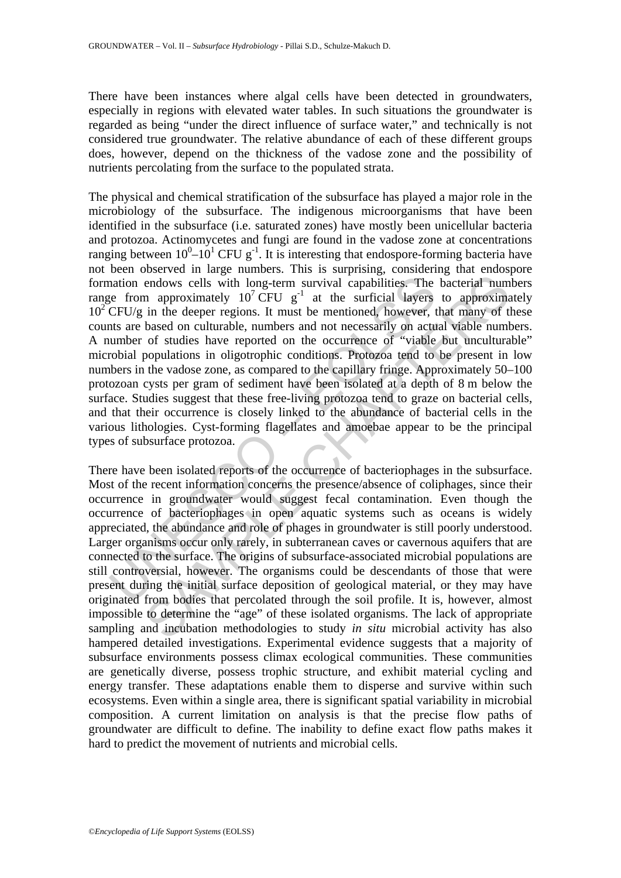There have been instances where algal cells have been detected in groundwaters, especially in regions with elevated water tables. In such situations the groundwater is regarded as being "under the direct influence of surface water," and technically is not considered true groundwater. The relative abundance of each of these different groups does, however, depend on the thickness of the vadose zone and the possibility of nutrients percolating from the surface to the populated strata.

nation endows cells with long-term survival capabilities. The<br>ge from approximately  $10^7$  CFU  $g^{-1}$  at the surficial layers<br>CFU/g in the deeper regions. It must be mentioned, however, t<br>usuamber of studies have reported The physical and chemical stratification of the subsurface has played a major role in the microbiology of the subsurface. The indigenous microorganisms that have been identified in the subsurface (i.e. saturated zones) have mostly been unicellular bacteria and protozoa. Actinomycetes and fungi are found in the vadose zone at concentrations ranging between  $10^0$ – $10^1$  CFU g<sup>-1</sup>. It is interesting that endospore-forming bacteria have not been observed in large numbers. This is surprising, considering that endospore formation endows cells with long-term survival capabilities. The bacterial numbers range from approximately  $10^7$  CFU g<sup>-1</sup> at the surficial layers to approximately 10<sup>2</sup> CFU/g in the deeper regions. It must be mentioned, however, that many of these counts are based on culturable, numbers and not necessarily on actual viable numbers. A number of studies have reported on the occurrence of "viable but unculturable" microbial populations in oligotrophic conditions. Protozoa tend to be present in low numbers in the vadose zone, as compared to the capillary fringe. Approximately 50–100 protozoan cysts per gram of sediment have been isolated at a depth of 8 m below the surface. Studies suggest that these free-living protozoa tend to graze on bacterial cells, and that their occurrence is closely linked to the abundance of bacterial cells in the various lithologies. Cyst-forming flagellates and amoebae appear to be the principal types of subsurface protozoa.

endows cells with long-term survival capabilities. The bacterial num<br>andows cells with long-term survival capabilities. The bacterial num<br>an approximately  $10^7$  CFU  $g^{-1}$  at the surficial layers to approximate<br>based on There have been isolated reports of the occurrence of bacteriophages in the subsurface. Most of the recent information concerns the presence/absence of coliphages, since their occurrence in groundwater would suggest fecal contamination. Even though the occurrence of bacteriophages in open aquatic systems such as oceans is widely appreciated, the abundance and role of phages in groundwater is still poorly understood. Larger organisms occur only rarely, in subterranean caves or cavernous aquifers that are connected to the surface. The origins of subsurface-associated microbial populations are still controversial, however. The organisms could be descendants of those that were present during the initial surface deposition of geological material, or they may have originated from bodies that percolated through the soil profile. It is, however, almost impossible to determine the "age" of these isolated organisms. The lack of appropriate sampling and incubation methodologies to study *in situ* microbial activity has also hampered detailed investigations. Experimental evidence suggests that a majority of subsurface environments possess climax ecological communities. These communities are genetically diverse, possess trophic structure, and exhibit material cycling and energy transfer. These adaptations enable them to disperse and survive within such ecosystems. Even within a single area, there is significant spatial variability in microbial composition. A current limitation on analysis is that the precise flow paths of groundwater are difficult to define. The inability to define exact flow paths makes it hard to predict the movement of nutrients and microbial cells.